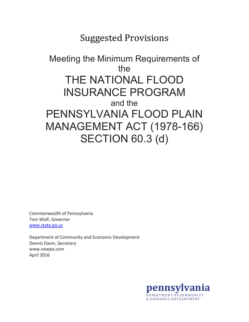# Suggested Provisions

# Meeting the Minimum Requirements of the THE NATIONAL FLOOD INSURANCE PROGRAM and the PENNSYLVANIA FLOOD PLAIN MANAGEMENT ACT (1978-166) SECTION 60.3 (d)

Commonwealth of Pennsylvania Tom Wolf, Governor [www.state.pa.us](http://www.state.pa.us/)

Department of Community and Economic Development Dennis Davin, Secretary www.newpa.com April 2016

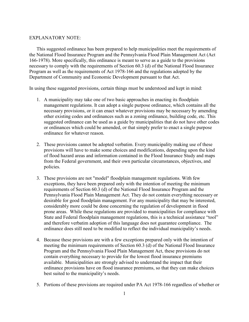#### EXPLANATORY NOTE:

This suggested ordinance has been prepared to help municipalities meet the requirements of the National Flood Insurance Program and the Pennsylvania Flood Plain Management Act (Act 166-1978). More specifically, this ordinance is meant to serve as a guide to the provisions necessary to comply with the requirements of Section 60.3 (d) of the National Flood Insurance Program as well as the requirements of Act 1978-166 and the regulations adopted by the Department of Community and Economic Development pursuant to that Act.

In using these suggested provisions, certain things must be understood and kept in mind:

- 1. A municipality may take one of two basic approaches in enacting its floodplain management regulations. It can adopt a single purpose ordinance, which contains all the necessary provisions, or it can enact whatever provisions may be necessary by amending other existing codes and ordinances such as a zoning ordinance, building code, etc. This suggested ordinance can be used as a guide by municipalities that do not have other codes or ordinances which could be amended, or that simply prefer to enact a single purpose ordinance for whatever reason.
- 2. These provisions cannot be adopted verbatim. Every municipality making use of these provisions will have to make some choices and modifications, depending upon the kind of flood hazard areas and information contained in the Flood Insurance Study and maps from the Federal government, and their own particular circumstances, objectives, and policies.
- 3. These provisions are not "model" floodplain management regulations. With few exceptions, they have been prepared only with the intention of meeting the minimum requirements of Section 60.3 (d) of the National Flood Insurance Program and the Pennsylvania Flood Plain Management Act. They do not contain everything necessary or desirable for good floodplain management. For any municipality that may be interested, considerably more could be done concerning the regulation of development in flood prone areas. While these regulations are provided to municipalities for compliance with State and Federal floodplain management regulations, this is a technical assistance "tool" and therefore verbatim adoption of this language does not guarantee compliance. The ordinance does still need to be modified to reflect the individual municipality's needs.
- 4. Because these provisions are with a few exceptions prepared only with the intention of meeting the minimum requirements of Section 60.3 (d) of the National Flood Insurance Program and the Pennsylvania Flood Plain Management Act, these provisions do not contain everything necessary to provide for the lowest flood insurance premiums available. Municipalities are strongly advised to understand the impact that their ordinance provisions have on flood insurance premiums, so that they can make choices best suited to the municipality's needs.
- 5. Portions of these provisions are required under PA Act 1978-166 regardless of whether or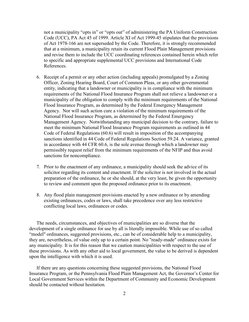not a municipality "opts in" or "opts out" of administering the PA Uniform Construction Code (UCC), PA Act 45 of 1999. Article XI of Act 1999-45 stipulates that the provisions of Act 1978-166 are not superseded by the Code. Therefore, it is strongly recommended that at a minimum, a municipality retain its current Flood Plain Management provisions and revise them to include the UCC coordinating references contained herein which refer to specific and appropriate supplemental UCC provisions and International Code References.

- 6. Receipt of a permit or any other action (including appeals) promulgated by a Zoning Officer, Zoning Hearing Board, Court of Common Pleas, or any other governmental entity, indicating that a landowner or municipality is in compliance with the minimum requirements of the National Flood Insurance Program shall not relieve a landowner or a municipality of the obligation to comply with the minimum requirements of the National Flood Insurance Program, as determined by the Federal Emergency Management Agency. Nor will such action cure a violation of the minimum requirements of the National Flood Insurance Program, as determined by the Federal Emergency Management Agency. Notwithstanding any municipal decision to the contrary, failure to meet the minimum National Flood Insurance Program requirements as outlined in 44 Code of Federal Regulations (60.6) will result in imposition of the accompanying sanctions identified in 44 Code of Federal Regulations Section 59.24. A variance, granted in accordance with 44 CFR 60.6, is the sole avenue through which a landowner may permissibly request relief from the minimum requirements of the NFIP and thus avoid sanctions for noncompliance.
- 7. Prior to the enactment of any ordinance, a municipality should seek the advice of its solicitor regarding its content and enactment. If the solicitor is not involved in the actual preparation of the ordinance, he or she should, at the very least, be given the opportunity to review and comment upon the proposed ordinance prior to its enactment.
- 8. Any flood plain management provisions enacted by a new ordinance or by amending existing ordinances, codes or laws, shall take precedence over any less restrictive conflicting local laws, ordinances or codes.

The needs, circumstances, and objectives of municipalities are so diverse that the development of a single ordinance for use by all is literally impossible. While use of so called "model" ordinances, suggested provisions, etc., can be of considerable help to a municipality, they are, nevertheless, of value only up to a certain point. No "ready-made" ordinance exists for any municipality. It is for this reason that we caution municipalities with respect to the use of these provisions. As with any other aid to local government, the value to be derived is dependent upon the intelligence with which it is used.

If there are any questions concerning these suggested provisions, the National Flood Insurance Program, or the Pennsylvania Flood Plain Management Act, the Governor's Center for Local Government Services within the Department of Community and Economic Development should be contacted without hesitation.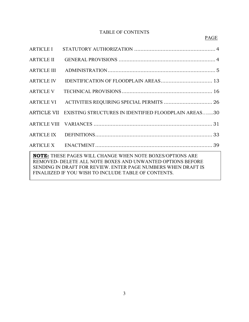# TABLE OF CONTENTS

| <b>ARTICLE II</b>                                                                                                                                                                                                                                       |                                                                  |  |
|---------------------------------------------------------------------------------------------------------------------------------------------------------------------------------------------------------------------------------------------------------|------------------------------------------------------------------|--|
| <b>ARTICLE III</b>                                                                                                                                                                                                                                      |                                                                  |  |
| <b>ARTICLE IV</b>                                                                                                                                                                                                                                       |                                                                  |  |
| <b>ARTICLE V</b>                                                                                                                                                                                                                                        |                                                                  |  |
| <b>ARTICLE VI</b>                                                                                                                                                                                                                                       | ACTIVITIES REQUIRING SPECIAL PERMITS  26                         |  |
|                                                                                                                                                                                                                                                         | ARTICLE VII EXISTING STRUCTURES IN IDENTIFIED FLOODPLAIN AREAS30 |  |
|                                                                                                                                                                                                                                                         |                                                                  |  |
|                                                                                                                                                                                                                                                         |                                                                  |  |
|                                                                                                                                                                                                                                                         |                                                                  |  |
| <b>NOTE:</b> THESE PAGES WILL CHANGE WHEN NOTE BOXES/OPTIONS ARE<br>REMOVED- DELETE ALL NOTE BOXES AND UNWANTED OPTIONS BEFORE<br>SENDING IN DRAFT FOR REVIEW. ENTER PAGE NUMBERS WHEN DRAFT IS<br>FINALIIZED IF YOU WISH TO INCLUDE TABLE OF CONTENTS. |                                                                  |  |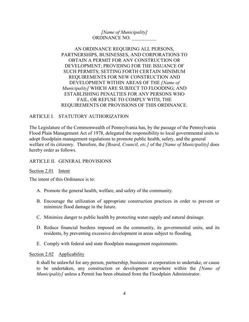*[Name of Municipality]* ORDINANCE NO. *\_\_\_\_\_\_\_\_\_\_*

# AN ORDINANCE REQUIRING ALL PERSONS, PARTNERSHIPS, BUSINESSES, AND CORPORATIONS TO OBTAIN A PERMIT FOR ANY CONSTRUCTION OR DEVELOPMENT; PROVIDING FOR THE ISSUANCE OF SUCH PERMITS; SETTING FORTH CERTAIN MINIMUM REQUIREMENTS FOR NEW CONSTRUCTION AND DEVELOPMENT WITHIN AREAS OF THE *[Name of Municipality]* WHICH ARE SUBJECT TO FLOODING; AND ESTABLISHING PENALTIES FOR ANY PERSONS WHO FAIL, OR REFUSE TO COMPLY WITH, THE REQUIREMENTS OR PROVISIONS OF THIS ORDINANCE.

# ARTICLE I. STATUTORY AUTHORIZATION

The Legislature of the Commonwealth of Pennsylvania has, by the passage of the Pennsylvania Flood Plain Management Act of 1978, delegated the responsibility to local governmental units to adopt floodplain management regulations to promote public health, safety, and the general welfare of its citizenry. Therefore, the *[Board, Council, etc.]* of the *[Name of Municipality]* does hereby order as follows.

#### ARTICLE II. GENERAL PROVISIONS

#### Section 2.01 Intent

The intent of this Ordinance is to:

- A. Promote the general health, welfare, and safety of the community.
- B. Encourage the utilization of appropriate construction practices in order to prevent or minimize flood damage in the future.
- C. Minimize danger to public health by protecting water supply and natural drainage.
- D. Reduce financial burdens imposed on the community, its governmental units, and its residents, by preventing excessive development in areas subject to flooding.
- E. Comply with federal and state floodplain management requirements.

#### Section 2.02 Applicability

It shall be unlawful for any person, partnership, business or corporation to undertake, or cause to be undertaken, any construction or development anywhere within the *[Name of Municipality]* unless a Permit has been obtained from the Floodplain Administrator.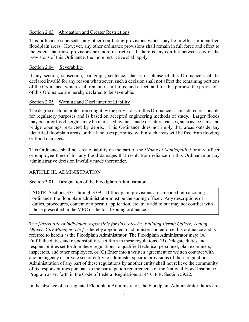## Section 2.03 Abrogation and Greater Restrictions

This ordinance supersedes any other conflicting provisions which may be in effect in identified floodplain areas. However, any other ordinance provisions shall remain in full force and effect to the extent that those provisions are more restrictive. If there is any conflict between any of the provisions of this Ordinance, the more restrictive shall apply.

## Section 2.04 Severability

If any section, subsection, paragraph, sentence, clause, or phrase of this Ordinance shall be declared invalid for any reason whatsoever, such a decision shall not affect the remaining portions of the Ordinance, which shall remain in full force and effect, and for this purpose the provisions of this Ordinance are hereby declared to be severable.

## Section 2.05 Warning and Disclaimer of Liability

The degree of flood protection sought by the provisions of this Ordinance is considered reasonable for regulatory purposes and is based on accepted engineering methods of study. Larger floods may occur or flood heights may be increased by man-made or natural causes, such as ice jams and bridge openings restricted by debris. This Ordinance does not imply that areas outside any identified floodplain areas, or that land uses permitted within such areas will be free from flooding or flood damages.

This Ordinance shall not create liability on the part of the *[Name of Municipality]* or any officer or employee thereof for any flood damages that result from reliance on this Ordinance or any administrative decision lawfully made thereunder.

# ARTICLE III. ADMINISTRATION

## Section 3.01 Designation of the Floodplain Administrator

**NOTE**: Sections 3.01 through 3.09 – If floodplain provisions are amended into a zoning ordinance, the floodplain administrator must be the zoning officer. Any descriptions of duties, procedures, content of a permit application, etc. may add to but may not conflict with those prescribed in the MPC or the local zoning ordinance.

The *[Insert title of individual responsible for this role- Ex. Building Permit Officer, Zoning Officer, City Manager, etc.]* is hereby appointed to administer and enforce this ordinance and is referred to herein as the Floodplain Administrator The Floodplain Administrator may: (A) Fulfill the duties and responsibilities set forth in these regulations, (B) Delegate duties and responsibilities set forth in these regulations to qualified technical personnel, plan examiners, inspectors, and other employees, or (C) Enter into a written agreement or written contract with another agency or private sector entity to administer specific provisions of these regulations. Administration of any part of these regulations by another entity shall not relieve the community of its responsibilities pursuant to the participation requirements of the National Flood Insurance Program as set forth in the Code of Federal Regulations at 44 C.F.R. Section 59.22.

In the absence of a designated Floodplain Administrator, the Floodplain Administrator duties are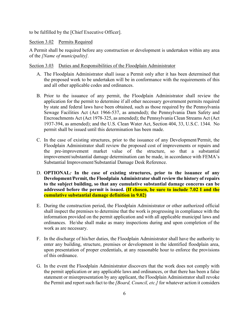to be fulfilled by the [Chief Executive Officer].

## Section 3.02 Permits Required

A Permit shall be required before any construction or development is undertaken within any area of the *[Name of municipality].*

#### Section 3.03 Duties and Responsibilities of the Floodplain Administrator

- A. The Floodplain Administrator shall issue a Permit only after it has been determined that the proposed work to be undertaken will be in conformance with the requirements of this and all other applicable codes and ordinances.
- B. Prior to the issuance of any permit, the Floodplain Administrator shall review the application for the permit to determine if all other necessary government permits required by state and federal laws have been obtained, such as those required by the Pennsylvania Sewage Facilities Act (Act 1966-537, as amended); the Pennsylvania Dam Safety and Encroachments Act (Act 1978-325, as amended); the Pennsylvania Clean Streams Act (Act 1937-394, as amended); and the U.S. Clean Water Act, Section 404, 33, U.S.C. 1344. No permit shall be issued until this determination has been made.
- C. In the case of existing structures, prior to the issuance of any Development/Permit, the Floodplain Administrator shall review the proposed cost of improvements or repairs and the pre-improvement market value of the structure, so that a substantial improvement/substantial damage determination can be made, in accordance with FEMA's Substantial Improvement/Substantial Damage Desk Reference.
- D. **OPTIONAL***:* **In the case of existing structures, prior to the issuance of any Development/Permit, the Floodplain Administrator shall review the history of repairs to the subject building, so that any cumulative substantial damage concerns can be addressed before the permit is issued. (If chosen, be sure to include 7.02 I and the cumulative substantial damage definition in 9.02)**
- E. During the construction period, the Floodplain Administrator or other authorized official shall inspect the premises to determine that the work is progressing in compliance with the information provided on the permit application and with all applicable municipal laws and ordinances. He/she shall make as many inspections during and upon completion of the work as are necessary.
- F. In the discharge of his/her duties, the Floodplain Administrator shall have the authority to enter any building, structure, premises or development in the identified floodplain area, upon presentation of proper credentials, at any reasonable hour to enforce the provisions of this ordinance.
- G. In the event the Floodplain Administrator discovers that the work does not comply with the permit application or any applicable laws and ordinances, or that there has been a false statement or misrepresentation by any applicant, the Floodplain Administrator shall revoke the Permit and report such fact to the *[Board, Council, etc.]* for whatever action it considers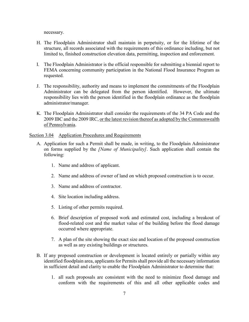necessary.

- H. The Floodplain Administrator shall maintain in perpetuity, or for the lifetime of the structure, all records associated with the requirements of this ordinance including, but not limited to, finished construction elevation data, permitting, inspection and enforcement.
- I. The Floodplain Administrator is the official responsible for submitting a biennial report to FEMA concerning community participation in the National Flood Insurance Program as requested.
- J. The responsibility, authority and means to implement the commitments of the Floodplain Administrator can be delegated from the person identified. However, the ultimate responsibility lies with the person identified in the floodplain ordinance as the floodplain administrator/manager.
- K. The Floodplain Administrator shall consider the requirements of the 34 PA Code and the 2009 IBC and the 2009 IRC, or the latest revision thereof as adopted by the Commonwealth of Pennsylvania.

#### Section 3.04 Application Procedures and Requirements

- A. Application for such a Permit shall be made, in writing, to the Floodplain Administrator on forms supplied by the *[Name of Municipality]*. Such application shall contain the following:
	- 1. Name and address of applicant.
	- 2. Name and address of owner of land on which proposed construction is to occur.
	- 3. Name and address of contractor.
	- 4. Site location including address.
	- 5. Listing of other permits required.
	- 6. Brief description of proposed work and estimated cost, including a breakout of flood-related cost and the market value of the building before the flood damage occurred where appropriate.
	- 7. A plan of the site showing the exact size and location of the proposed construction as well as any existing buildings or structures.
- B. If any proposed construction or development is located entirely or partially within any identified floodplain area, applicants for Permits shall provide all the necessary information in sufficient detail and clarity to enable the Floodplain Administrator to determine that:
	- 1. all such proposals are consistent with the need to minimize flood damage and conform with the requirements of this and all other applicable codes and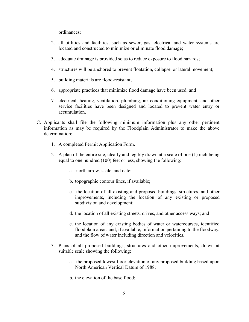ordinances;

- 2. all utilities and facilities, such as sewer, gas, electrical and water systems are located and constructed to minimize or eliminate flood damage;
- 3. adequate drainage is provided so as to reduce exposure to flood hazards;
- 4. structures will be anchored to prevent floatation, collapse, or lateral movement;
- 5. building materials are flood-resistant;
- 6. appropriate practices that minimize flood damage have been used; and
- 7. electrical, heating, ventilation, plumbing, air conditioning equipment, and other service facilities have been designed and located to prevent water entry or accumulation.
- C. Applicants shall file the following minimum information plus any other pertinent information as may be required by the Floodplain Administrator to make the above determination:
	- 1. A completed Permit Application Form.
	- 2. A plan of the entire site, clearly and legibly drawn at a scale of one (1) inch being equal to one hundred (100) feet or less, showing the following:
		- a. north arrow, scale, and date;
		- b. topographic contour lines, if available;
		- c. the location of all existing and proposed buildings, structures, and other improvements, including the location of any existing or proposed subdivision and development;
		- d. the location of all existing streets, drives, and other access ways; and
		- e. the location of any existing bodies of water or watercourses, identified floodplain areas, and, if available, information pertaining to the floodway, and the flow of water including direction and velocities.
	- 3. Plans of all proposed buildings, structures and other improvements, drawn at suitable scale showing the following:
		- a. the proposed lowest floor elevation of any proposed building based upon North American Vertical Datum of 1988;
		- b. the elevation of the base flood;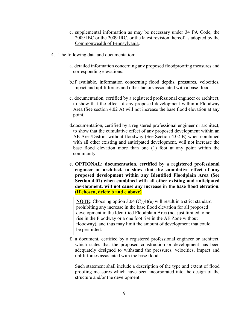- c. supplemental information as may be necessary under 34 PA Code, the 2009 IBC or the 2009 IRC, or the latest revision thereof as adopted by the Commonwealth of Pennsylvania.
- 4. The following data and documentation:
	- a. detailed information concerning any proposed floodproofing measures and corresponding elevations.
	- b.if available, information concerning flood depths, pressures, velocities, impact and uplift forces and other factors associated with a base flood.
	- c. documentation, certified by a registered professional engineer or architect, to show that the effect of any proposed development within a Floodway Area (See section 4.02 A) will not increase the base flood elevation at any point.
	- d.documentation, certified by a registered professional engineer or architect, to show that the cumulative effect of any proposed development within an AE Area/District without floodway (See Section 4.02 B) when combined with all other existing and anticipated development, will not increase the base flood elevation more than one (1) foot at any point within the community.
	- **e. OPTIONAL: documentation, certified by a registered professional engineer or architect, to show that the cumulative effect of any proposed development within any Identified Floodplain Area (See Section 4.01) when combined with all other existing and anticipated development, will not cause any increase in the base flood elevation. (If chosen, delete b and c above)**

**NOTE:** Choosing option 3.04 (C)(4)(e) will result in a strict standard prohibiting any increase in the base flood elevation for all proposed development in the Identified Floodplain Area (not just limited to no rise in the Floodway or a one foot rise in the AE Zone without floodway), and thus may limit the amount of development that could be permitted.

f. a document, certified by a registered professional engineer or architect, which states that the proposed construction or development has been adequately designed to withstand the pressures, velocities, impact and uplift forces associated with the base flood.

Such statement shall include a description of the type and extent of flood proofing measures which have been incorporated into the design of the structure and/or the development.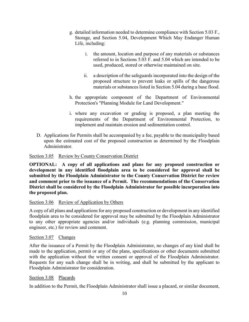- g. detailed information needed to determine compliance with Section 5.03 F., Storage, and Section 5.04, Development Which May Endanger Human Life, including:
	- i. the amount, location and purpose of any materials or substances referred to in Sections 5.03 F. and 5.04 which are intended to be used, produced, stored or otherwise maintained on site.
	- ii. a description of the safeguards incorporated into the design of the proposed structure to prevent leaks or spills of the dangerous materials or substances listed in Section 5.04 during a base flood.
- h. the appropriate component of the Department of Environmental Protection's "Planning Module for Land Development."
- i. where any excavation or grading is proposed, a plan meeting the requirements of the Department of Environmental Protection, to implement and maintain erosion and sedimentation control.
- D. Applications for Permits shall be accompanied by a fee, payable to the municipality based upon the estimated cost of the proposed construction as determined by the Floodplain Administrator.

# Section 3.05 Review by County Conservation District

**OPTIONAL: A copy of all applications and plans for any proposed construction or development in any identified floodplain area to be considered for approval shall be submitted by the Floodplain Administrator to the County Conservation District for review and comment prior to the issuance of a Permit. The recommendations of the Conservation District shall be considered by the Floodplain Administrator for possible incorporation into the proposed plan.**

## Section 3.06 Review of Application by Others

A copy of all plans and applications for any proposed construction or development in any identified floodplain area to be considered for approval may be submitted by the Floodplain Administrator to any other appropriate agencies and/or individuals (e.g. planning commission, municipal engineer, etc.) for review and comment.

## Section 3.07 Changes

After the issuance of a Permit by the Floodplain Administrator, no changes of any kind shall be made to the application, permit or any of the plans, specifications or other documents submitted with the application without the written consent or approval of the Floodplain Administrator. Requests for any such change shall be in writing, and shall be submitted by the applicant to Floodplain Administrator for consideration.

## Section 3.08 Placards

In addition to the Permit, the Floodplain Administrator shall issue a placard, or similar document,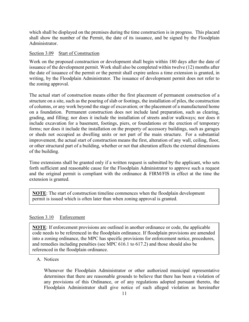which shall be displayed on the premises during the time construction is in progress. This placard shall show the number of the Permit, the date of its issuance, and be signed by the Floodplain Administrator.

#### Section 3.09 Start of Construction

Work on the proposed construction or development shall begin within 180 days after the date of issuance of the development permit. Work shall also be completed within twelve (12) months after the date of issuance of the permit or the permit shall expire unless a time extension is granted, in writing, by the Floodplain Administrator. The issuance of development permit does not refer to the zoning approval.

The actual start of construction means either the first placement of permanent construction of a structure on a site, such as the pouring of slab or footings, the installation of piles, the construction of columns, or any work beyond the stage of excavation; or the placement of a manufactured home on a foundation. Permanent construction does not include land preparation, such as clearing, grading, and filling; nor does it include the installation of streets and/or walkways; nor does it include excavation for a basement, footings, piers, or foundations or the erection of temporary forms; nor does it include the installation on the property of accessory buildings, such as garages or sheds not occupied as dwelling units or not part of the main structure. For a substantial improvement, the actual start of construction means the first, alteration of any wall, ceiling, floor, or other structural part of a building, whether or not that alteration affects the external dimensions of the building.

Time extensions shall be granted only if a written request is submitted by the applicant, who sets forth sufficient and reasonable cause for the Floodplain Administrator to approve such a request and the original permit is compliant with the ordinance & FIRM/FIS in effect at the time the extension is granted.

**NOTE**: The start of construction timeline commences when the floodplain development permit is issued which is often later than when zoning approval is granted.

## Section 3.10 Enforcement

**NOTE**: If enforcement provisions are outlined in another ordinance or code, the applicable code needs to be referenced in the floodplain ordinance. If floodplain provisions are amended into a zoning ordinance, the MPC has specific provisions for enforcement notice, procedures, and remedies including penalties (see MPC 616.1 to 617.2) and those should also be referenced in the floodplain ordinance.

## A. Notices

Whenever the Floodplain Administrator or other authorized municipal representative determines that there are reasonable grounds to believe that there has been a violation of any provisions of this Ordinance, or of any regulations adopted pursuant thereto, the Floodplain Administrator shall give notice of such alleged violation as hereinafter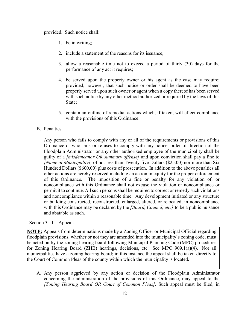#### provided. Such notice shall:

- 1. be in writing;
- 2. include a statement of the reasons for its issuance;
- 3. allow a reasonable time not to exceed a period of thirty (30) days for the performance of any act it requires;
- 4. be served upon the property owner or his agent as the case may require; provided, however, that such notice or order shall be deemed to have been properly served upon such owner or agent when a copy thereof has been served with such notice by any other method authorized or required by the laws of this State;
- 5. contain an outline of remedial actions which, if taken, will effect compliance with the provisions of this Ordinance.

## B. Penalties

Any person who fails to comply with any or all of the requirements or provisions of this Ordinance or who fails or refuses to comply with any notice, order of direction of the Floodplain Administrator or any other authorized employee of the municipality shall be guilty of a *[misdemeanor OR summary offense]* and upon conviction shall pay a fine to *[Name of Municipality],* of not less than Twenty-five Dollars (\$25.00) nor more than Six Hundred Dollars (\$600.00) plus costs of prosecution. In addition to the above penalties all other actions are hereby reserved including an action in equity for the proper enforcement of this Ordinance. The imposition of a fine or penalty for any violation of, or noncompliance with this Ordinance shall not excuse the violation or noncompliance or permit it to continue. All such persons shall be required to correct or remedy such violations and noncompliance within a reasonable time. Any development initiated or any structure or building constructed, reconstructed, enlarged, altered, or relocated, in noncompliance with this Ordinance may be declared by the *[Board, Council, etc.]* to be a public nuisance and abatable as such.

#### Section 3.11 Appeals

**NOTE:** Appeals from determinations made by a Zoning Officer or Municipal Official regarding floodplain provisions, whether or not they are amended into the municipality's zoning code, must be acted on by the zoning hearing board following Municipal Planning Code (MPC) procedures for Zoning Hearing Board (ZHB) hearings, decisions, etc. See MPC 909.1(a)(4). Not all municipalities have a zoning hearing board; in this instance the appeal shall be taken directly to the Court of Common Pleas of the county within which the municipality is located.

A. Any person aggrieved by any action or decision of the Floodplain Administrator concerning the administration of the provisions of this Ordinance, may appeal to the *[Zoning Hearing Board OR Court of Common Pleas].* Such appeal must be filed, in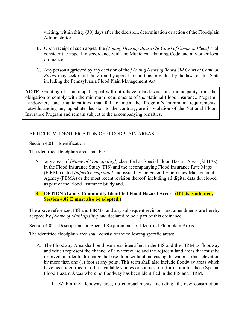writing, within thirty (30) days after the decision, determination or action of the Floodplain Administrator.

- B. Upon receipt of such appeal the *[Zoning Hearing Board OR Court of Common Pleas]* shall consider the appeal in accordance with the Municipal Planning Code and any other local ordinance.
- C. Any person aggrieved by any decision of the *[Zoning Hearing Board OR Court of Common Pleas]* may seek relief therefrom by appeal to court, as provided by the laws of this State including the Pennsylvania Flood Plain Management Act.

**NOTE**: Granting of a municipal appeal will not relieve a landowner or a municipality from the obligation to comply with the minimum requirements of the National Flood Insurance Program. Landowners and municipalities that fail to meet the Program's minimum requirements, notwithstanding any appellate decision to the contrary, are in violation of the National Flood Insurance Program and remain subject to the accompanying penalties.

# ARTICLE IV. IDENTIFICATION OF FLOODPLAIN AREAS

Section 4.01 Identification

The identified floodplain area shall be:

A. any areas of *[Name of Municipality],* classified as Special Flood Hazard Areas (SFHAs) in the Flood Insurance Study (FIS) and the accompanying Flood Insurance Rate Maps (FIRMs) dated *[effective map date]* and issued by the Federal Emergency Management Agency (FEMA) or the most recent revision thereof, including all digital data developed as part of the Flood Insurance Study and,

# **B. OPTIONAL: any Community Identified Flood Hazard Areas**. **(If this is adopted, Section 4.02 E must also be adopted.)**

The above referenced FIS and FIRMs, and any subsequent revisions and amendments are hereby adopted by *[Name of Municipality]* and declared to be a part of this ordinance.

## Section 4.02 Description and Special Requirements of Identified Floodplain Areas

The identified floodplain area shall consist of the following specific areas:

- A. The Floodway Area shall be those areas identified in the FIS and the FIRM as floodway and which represent the channel of a watercourse and the adjacent land areas that must be reserved in order to discharge the base flood without increasing the water surface elevation by more than one (1) foot at any point. This term shall also include floodway areas which have been identified in other available studies or sources of information for those Special Flood Hazard Areas where no floodway has been identified in the FIS and FIRM.
	- 1. Within any floodway area, no encroachments, including fill, new construction,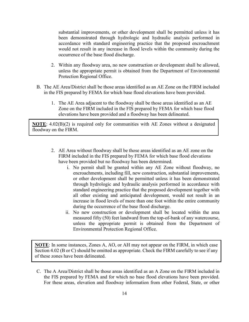substantial improvements, or other development shall be permitted unless it has been demonstrated through hydrologic and hydraulic analysis performed in accordance with standard engineering practice that the proposed encroachment would not result in any increase in flood levels within the community during the occurrence of the base flood discharge.

- 2. Within any floodway area, no new construction or development shall be allowed, unless the appropriate permit is obtained from the Department of Environmental Protection Regional Office.
- B. The AE Area/District shall be those areas identified as an AE Zone on the FIRM included in the FIS prepared by FEMA for which base flood elevations have been provided.
	- 1. The AE Area adjacent to the floodway shall be those areas identified as an AE Zone on the FIRM included in the FIS prepared by FEMA for which base flood elevations have been provided and a floodway has been delineated.

**NOTE**: 4.02(B)(2) is required only for communities with AE Zones without a designated floodway on the FIRM.

- 2. AE Area without floodway shall be those areas identified as an AE zone on the FIRM included in the FIS prepared by FEMA for which base flood elevations have been provided but no floodway has been determined.
	- i. No permit shall be granted within any AE Zone without floodway, no encroachments, including fill, new construction, substantial improvements, or other development shall be permitted unless it has been demonstrated through hydrologic and hydraulic analysis performed in accordance with standard engineering practice that the proposed development together with all other existing and anticipated development, would not result in an increase in flood levels of more than one foot within the entire community during the occurrence of the base flood discharge.
	- ii. No new construction or development shall be located within the area measured fifty (50) feet landward from the top-of-bank of any watercourse, unless the appropriate permit is obtained from the Department of Environmental Protection Regional Office.

**NOTE**: In some instances, Zones A, AO, or AH may not appear on the FIRM, in which case Section 4.02 (B or C) should be omitted as appropriate. Check the FIRM carefully to see if any of these zones have been delineated.

C. The A Area/District shall be those areas identified as an A Zone on the FIRM included in the FIS prepared by FEMA and for which no base flood elevations have been provided. For these areas, elevation and floodway information from other Federal, State, or other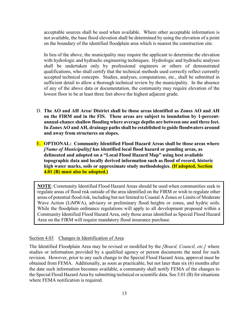acceptable sources shall be used when available. Where other acceptable information is not available, the base flood elevation shall be determined by using the elevation of a point on the boundary of the identified floodplain area which is nearest the construction site.

In lieu of the above, the municipality may require the applicant to determine the elevation with hydrologic and hydraulic engineering techniques. Hydrologic and hydraulic analyses shall be undertaken only by professional engineers or others of demonstrated qualifications, who shall certify that the technical methods used correctly reflect currently accepted technical concepts. Studies, analyses, computations, etc., shall be submitted in sufficient detail to allow a thorough technical review by the municipality. In the absence of any of the above data or documentation, the community may require elevation of the lowest floor to be at least three feet above the highest adjacent grade.

- D. **The AO and AH Area/ District shall be those areas identified as Zones AO and AH on the FIRM and in the FIS. These areas are subject to inundation by 1-percentannual-chance shallow flooding where average depths are between one and three feet. In Zones AO and AH, drainage paths shall be established to guide floodwaters around and away from structures on slopes.**
- E. **OPTIONAL: Community Identified Flood Hazard Areas shall be those areas where** *[Name of Municipality]* **has identified local flood hazard or ponding areas, as delineated and adopted on a "Local Flood Hazard Map" using best available topographic data and locally derived information such as flood of record, historic high water marks, soils or approximate study methodologies. (If adopted, Section 4.01 (B) must also be adopted.)**

**NOTE**: Community Identified Flood Hazard Areas should be used when communities seek to regulate areas of flood risk outside of the area identified on the FIRM or wish to regulate other areas of potential flood risk, including but not limited to Coastal A Zones or Limits of Moderate Wave Action (LiMWA), advisory or preliminary flood heights or zones, and hydric soils. While the floodplain ordinance regulations will apply to all development proposed within a Community Identified Flood Hazard Area, only those areas identified as Special Flood Hazard Area on the FIRM will require mandatory flood insurance purchase.

#### Section 4.03 Changes in Identification of Area

The Identified Floodplain Area may be revised or modified by the *[Board, Council, etc.]* where studies or information provided by a qualified agency or person documents the need for such revision. However, prior to any such change to the Special Flood Hazard Area, approval must be obtained from FEMA. Additionally, as soon as practicable, but not later than six (6) months after the date such information becomes available, a community shall notify FEMA of the changes to the Special Flood Hazard Area by submitting technical or scientific data. See 5.01 (B) for situations where FEMA notification is required.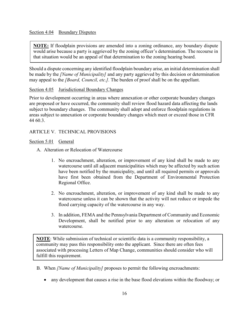## Section 4.04 Boundary Disputes

**NOTE:** If floodplain provisions are amended into a zoning ordinance, any boundary dispute would arise because a party is aggrieved by the zoning officer's determination. The recourse in that situation would be an appeal of that determination to the zoning hearing board.

Should a dispute concerning any identified floodplain boundary arise, an initial determination shall be made by the *[Name of Municipality]* and any party aggrieved by this decision or determination may appeal to the *[Board, Council, etc.].* The burden of proof shall be on the appellant.

## Section 4.05 Jurisdictional Boundary Changes

Prior to development occurring in areas where annexation or other corporate boundary changes are proposed or have occurred, the community shall review flood hazard data affecting the lands subject to boundary changes. The community shall adopt and enforce floodplain regulations in areas subject to annexation or corporate boundary changes which meet or exceed those in CFR 44 60.3.

# ARTICLE V. TECHNICAL PROVISIONS

## Section 5.01 General

- A. Alteration or Relocation of Watercourse
	- 1. No encroachment, alteration, or improvement of any kind shall be made to any watercourse until all adjacent municipalities which may be affected by such action have been notified by the municipality, and until all required permits or approvals have first been obtained from the Department of Environmental Protection Regional Office.
	- 2. No encroachment, alteration, or improvement of any kind shall be made to any watercourse unless it can be shown that the activity will not reduce or impede the flood carrying capacity of the watercourse in any way.
	- 3. In addition, FEMA and the Pennsylvania Department of Community and Economic Development, shall be notified prior to any alteration or relocation of any watercourse.

**NOTE**: While submission of technical or scientific data is a community responsibility, a community may pass this responsibility onto the applicant. Since there are often fees associated with processing Letters of Map Change, communities should consider who will fulfill this requirement.

- B. When *[Name of Municipality]* proposes to permit the following encroachments:
	- any development that causes a rise in the base flood elevations within the floodway; or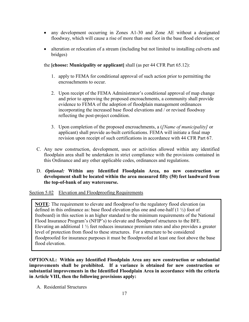- any development occurring in Zones A1-30 and Zone AE without a designated floodway, which will cause a rise of more than one foot in the base flood elevation; or
- alteration or relocation of a stream (including but not limited to installing culverts and bridges)

the **[choose: Municipality or applicant]** shall (as per 44 CFR Part 65.12):

- 1. apply to FEMA for conditional approval of such action prior to permitting the encroachments to occur.
- 2. Upon receipt of the FEMA Administrator's conditional approval of map change and prior to approving the proposed encroachments, a community shall provide evidence to FEMA of the adoption of floodplain management ordinances incorporating the increased base flood elevations and / or revised floodway reflecting the post-project condition.
- 3. Upon completion of the proposed encroachments, a (*[Name of municipality]* or applicant) shall provide as-built certifications. FEMA will initiate a final map revision upon receipt of such certifications in accordance with 44 CFR Part 67.
- C. Any new construction, development, uses or activities allowed within any identified floodplain area shall be undertaken in strict compliance with the provisions contained in this Ordinance and any other applicable codes, ordinances and regulations.

# D. *Optional:* **Within any Identified Floodplain Area, no new construction or development shall be located within the area measured fifty (50) feet landward from the top-of-bank of any watercourse.**

Section 5.02 Elevation and Floodproofing Requirements

**NOTE**: The requirement to elevate and floodproof to the regulatory flood elevation (as defined in this ordinance as: base flood elevation plus one and one-half  $(1 \frac{1}{2})$  foot of freeboard) in this section is an higher standard to the minimum requirements of the National Flood Insurance Program's (NFIP's) to elevate and floodproof structures to the BFE. Elevating an additional  $1\frac{1}{2}$  feet reduces insurance premium rates and also provides a greater level of protection from flood to these structures. For a structure to be considered floodproofed for insurance purposes it must be floodproofed at least one foot above the base flood elevation.

**OPTIONAL: Within any Identified Floodplain Area any new construction or substantial improvements shall be prohibited. If a variance is obtained for new construction or substantial improvements in the Identified Floodplain Area in accordance with the criteria in Article VIII, then the following provisions apply:**

A. Residential Structures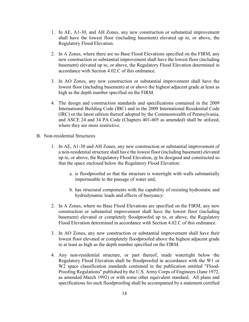- 1. In AE, A1-30, and AH Zones, any new construction or substantial improvement shall have the lowest floor (including basement) elevated up to, or above, the Regulatory Flood Elevation.
- 2. In A Zones, where there are no Base Flood Elevations specified on the FIRM, any new construction or substantial improvement shall have the lowest floor (including basement) elevated up to, or above, the Regulatory Flood Elevation determined in accordance with Section 4.02.C of this ordinance.
- 3. In AO Zones, any new construction or substantial improvement shall have the lowest floor (including basement) at or above the highest adjacent grade at least as high as the depth number specified on the FIRM.
- 4. The design and construction standards and specifications contained in the 2009 International Building Code (IBC) and in the 2009 International Residential Code (IRC) or the latest edition thereof adopted by the Commonwealth of Pennsylvania, and ASCE 24 and 34 PA Code (Chapters 401-405 as amended) shall be utilized, where they are more restrictive.
- B. Non-residential Structures
	- 1. In AE, A1-30 and AH Zones, any new construction or substantial improvement of a non-residential structure shall have the lowest floor (including basement) elevated up to, or above, the Regulatory Flood Elevation, or be designed and constructed so that the space enclosed below the Regulatory Flood Elevation:
		- a. is floodproofed so that the structure is watertight with walls substantially impermeable to the passage of water and,
		- b. has structural components with the capability of resisting hydrostatic and hydrodynamic loads and effects of buoyancy:
	- 2. In A Zones, where no Base Flood Elevations are specified on the FIRM, any new construction or substantial improvement shall have the lowest floor (including basement) elevated or completely floodproofed up to, or above, the Regulatory Flood Elevation determined in accordance with Section 4.02.C of this ordinance.
	- 3. In AO Zones, any new construction or substantial improvement shall have their lowest floor elevated or completely floodproofed above the highest adjacent grade to at least as high as the depth number specified on the FIRM.
	- 4. Any non-residential structure, or part thereof, made watertight below the Regulatory Flood Elevation shall be floodproofed in accordance with the W1 or W2 space classification standards contained in the publication entitled "Flood-Proofing Regulations" published by the U.S. Army Corps of Engineers (June 1972, as amended March 1992) or with some other equivalent standard. All plans and specifications for such floodproofing shall be accompanied by a statement certified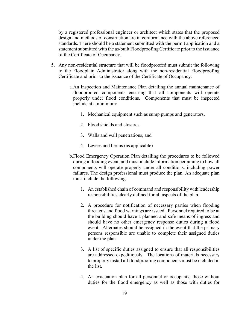by a registered professional engineer or architect which states that the proposed design and methods of construction are in conformance with the above referenced standards. There should be a statement submitted with the permit application and a statement submitted with the as-built Floodproofing Certificate prior to the issuance of the Certificate of Occupancy.

- 5. Any non-residential structure that will be floodproofed must submit the following to the Floodplain Administrator along with the non-residential Floodproofing Certificate and prior to the issuance of the Certificate of Occupancy:
	- a.An Inspection and Maintenance Plan detailing the annual maintenance of floodproofed components ensuring that all components will operate properly under flood conditions. Components that must be inspected include at a minimum:
		- 1. Mechanical equipment such as sump pumps and generators,
		- 2. Flood shields and closures,
		- 3. Walls and wall penetrations, and
		- 4. Levees and berms (as applicable)
	- b.Flood Emergency Operation Plan detailing the procedures to be followed during a flooding event, and must include information pertaining to how all components will operate properly under all conditions, including power failures. The design professional must produce the plan. An adequate plan must include the following:
		- 1. An established chain of command and responsibility with leadership responsibilities clearly defined for all aspects of the plan.
		- 2. A procedure for notification of necessary parties when flooding threatens and flood warnings are issued. Personnel required to be at the building should have a planned and safe means of ingress and should have no other emergency response duties during a flood event. Alternates should be assigned in the event that the primary persons responsible are unable to complete their assigned duties under the plan.
		- 3. A list of specific duties assigned to ensure that all responsibilities are addressed expeditiously. The locations of materials necessary to properly install all floodproofing components must be included in the list.
		- 4. An evacuation plan for all personnel or occupants; those without duties for the flood emergency as well as those with duties for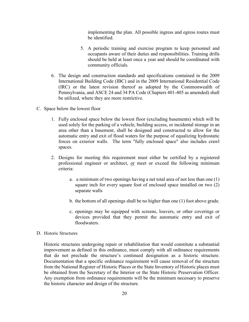implementing the plan. All possible ingress and egress routes must be identified.

- 5. A periodic training and exercise program to keep personnel and occupants aware of their duties and responsibilities. Training drills should be held at least once a year and should be coordinated with community officials.
- 6. The design and construction standards and specifications contained in the 2009 International Building Code (IBC) and in the 2009 International Residential Code (IRC) or the latest revision thereof as adopted by the Commonwealth of Pennsylvania, and ASCE 24 and 34 PA Code (Chapters 401-405 as amended) shall be utilized, where they are more restrictive.
- C. Space below the lowest floor
	- 1. Fully enclosed space below the lowest floor (excluding basements) which will be used solely for the parking of a vehicle, building access, or incidental storage in an area other than a basement, shall be designed and constructed to allow for the automatic entry and exit of flood waters for the purpose of equalizing hydrostatic forces on exterior walls. The term "fully enclosed space" also includes crawl spaces.
	- 2. Designs for meeting this requirement must either be certified by a registered professional engineer or architect, or meet or exceed the following minimum criteria:
		- a. a minimum of two openings having a net total area of not less than one (1) square inch for every square foot of enclosed space installed on two (2) separate walls
		- b. the bottom of all openings shall be no higher than one (1) foot above grade.
		- c. openings may be equipped with screens, louvers, or other coverings or devices provided that they permit the automatic entry and exit of floodwaters.

#### D. Historic Structures

Historic structures undergoing repair or rehabilitation that would constitute a substantial improvement as defined in this ordinance, must comply with all ordinance requirements that do not preclude the structure's continued designation as a historic structure. Documentation that a specific ordinance requirement will cause removal of the structure from the National Register of Historic Places or the State Inventory of Historic places must be obtained from the Secretary of the Interior or the State Historic Preservation Officer. Any exemption from ordinance requirements will be the minimum necessary to preserve the historic character and design of the structure.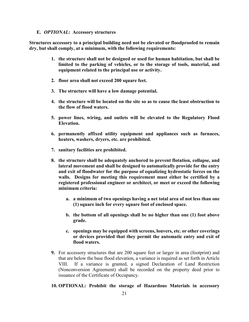#### **E.** *OPTIONAL:* **Accessory structures**

**Structures accessory to a principal building need not be elevated or floodproofed to remain dry, but shall comply, at a minimum, with the following requirements:**

- **1. the structure shall not be designed or used for human habitation, but shall be limited to the parking of vehicles, or to the storage of tools, material, and equipment related to the principal use or activity.**
- **2. floor area shall not exceed 200 square feet.**
- **3. The structure will have a low damage potential.**
- **4. the structure will be located on the site so as to cause the least obstruction to the flow of flood waters.**
- **5. power lines, wiring, and outlets will be elevated to the Regulatory Flood Elevation.**
- **6. permanently affixed utility equipment and appliances such as furnaces, heaters, washers, dryers, etc. are prohibited.**
- **7. sanitary facilities are prohibited.**
- **8. the structure shall be adequately anchored to prevent flotation, collapse, and lateral movement and shall be designed to automatically provide for the entry and exit of floodwater for the purpose of equalizing hydrostatic forces on the walls. Designs for meeting this requirement must either be certified by a registered professional engineer or architect, or meet or exceed the following minimum criteria:**
	- **a. a minimum of two openings having a net total area of not less than one (1) square inch for every square foot of enclosed space.**
	- **b. the bottom of all openings shall be no higher than one (1) foot above grade.**
	- **c. openings may be equipped with screens, louvers, etc. or other coverings or devices provided that they permit the automatic entry and exit of flood waters.**
- **9.** For accessory structures that are 200 square feet or larger in area (footprint) and that are below the base flood elevation, a variance is required as set forth in Article VIII. If a variance is granted, a signed Declaration of Land Restriction (Nonconversion Agreement) shall be recorded on the property deed prior to issuance of the Certificate of Occupancy.

#### **10. OPTIONAL: Prohibit the storage of Hazardous Materials in accessory**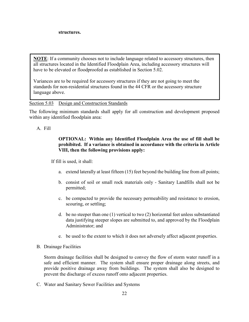**NOTE**: If a community chooses not to include language related to accessory structures, then all structures located in the Identified Floodplain Area, including accessory structures will have to be elevated or floodproofed as established in Section 5.02.

Variances are to be required for accessory structures if they are not going to meet the standards for non-residential structures found in the 44 CFR or the accessory structure language above.

## Section 5.03 Design and Construction Standards

The following minimum standards shall apply for all construction and development proposed within any identified floodplain area:

#### A. Fill

# **OPTIONAL: Within any Identified Floodplain Area the use of fill shall be prohibited. If a variance is obtained in accordance with the criteria in Article VIII, then the following provisions apply:**

If fill is used, it shall:

- a. extend laterally at least fifteen (15) feet beyond the building line from all points;
- b. consist of soil or small rock materials only Sanitary Landfills shall not be permitted;
- c. be compacted to provide the necessary permeability and resistance to erosion, scouring, or settling;
- d. be no steeper than one (1) vertical to two (2) horizontal feet unless substantiated data justifying steeper slopes are submitted to, and approved by the Floodplain Administrator; and
- e. be used to the extent to which it does not adversely affect adjacent properties.
- B. Drainage Facilities

Storm drainage facilities shall be designed to convey the flow of storm water runoff in a safe and efficient manner. The system shall ensure proper drainage along streets, and provide positive drainage away from buildings. The system shall also be designed to prevent the discharge of excess runoff onto adjacent properties.

C. Water and Sanitary Sewer Facilities and Systems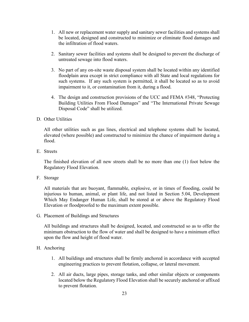- 1. All new or replacement water supply and sanitary sewer facilities and systems shall be located, designed and constructed to minimize or eliminate flood damages and the infiltration of flood waters.
- 2. Sanitary sewer facilities and systems shall be designed to prevent the discharge of untreated sewage into flood waters.
- 3. No part of any on-site waste disposal system shall be located within any identified floodplain area except in strict compliance with all State and local regulations for such systems. If any such system is permitted, it shall be located so as to avoid impairment to it, or contamination from it, during a flood.
- 4. The design and construction provisions of the UCC and FEMA #348, "Protecting Building Utilities From Flood Damages" and "The International Private Sewage Disposal Code" shall be utilized.

## D. Other Utilities

All other utilities such as gas lines, electrical and telephone systems shall be located, elevated (where possible) and constructed to minimize the chance of impairment during a flood.

E. Streets

The finished elevation of all new streets shall be no more than one (1) foot below the Regulatory Flood Elevation.

F. Storage

All materials that are buoyant, flammable, explosive, or in times of flooding, could be injurious to human, animal, or plant life, and not listed in Section 5.04, Development Which May Endanger Human Life, shall be stored at or above the Regulatory Flood Elevation or floodproofed to the maximum extent possible.

G. Placement of Buildings and Structures

All buildings and structures shall be designed, located, and constructed so as to offer the minimum obstruction to the flow of water and shall be designed to have a minimum effect upon the flow and height of flood water.

## H. Anchoring

- 1. All buildings and structures shall be firmly anchored in accordance with accepted engineering practices to prevent flotation, collapse, or lateral movement.
- 2. All air ducts, large pipes, storage tanks, and other similar objects or components located below the Regulatory Flood Elevation shall be securely anchored or affixed to prevent flotation.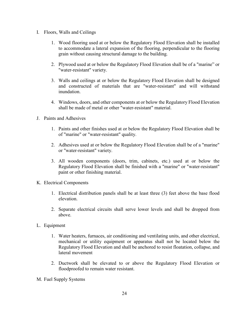- I. Floors, Walls and Ceilings
	- 1. Wood flooring used at or below the Regulatory Flood Elevation shall be installed to accommodate a lateral expansion of the flooring, perpendicular to the flooring grain without causing structural damage to the building.
	- 2. Plywood used at or below the Regulatory Flood Elevation shall be of a "marine" or "water-resistant" variety.
	- 3. Walls and ceilings at or below the Regulatory Flood Elevation shall be designed and constructed of materials that are "water-resistant" and will withstand inundation.
	- 4. Windows, doors, and other components at or below the Regulatory Flood Elevation shall be made of metal or other "water-resistant" material.
- J. Paints and Adhesives
	- 1. Paints and other finishes used at or below the Regulatory Flood Elevation shall be of "marine" or "water-resistant" quality.
	- 2. Adhesives used at or below the Regulatory Flood Elevation shall be of a "marine" or "water-resistant" variety.
	- 3. All wooden components (doors, trim, cabinets, etc.) used at or below the Regulatory Flood Elevation shall be finished with a "marine" or "water-resistant" paint or other finishing material.
- K. Electrical Components
	- 1. Electrical distribution panels shall be at least three (3) feet above the base flood elevation.
	- 2. Separate electrical circuits shall serve lower levels and shall be dropped from above.
- L. Equipment
	- 1. Water heaters, furnaces, air conditioning and ventilating units, and other electrical, mechanical or utility equipment or apparatus shall not be located below the Regulatory Flood Elevation and shall be anchored to resist floatation, collapse, and lateral movement
	- 2. Ductwork shall be elevated to or above the Regulatory Flood Elevation or floodproofed to remain water resistant.
- M. Fuel Supply Systems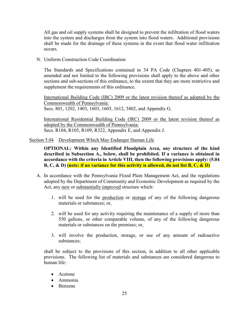All gas and oil supply systems shall be designed to prevent the infiltration of flood waters into the system and discharges from the system into flood waters. Additional provisions shall be made for the drainage of these systems in the event that flood water infiltration occurs.

N. Uniform Construction Code Coordination

The Standards and Specifications contained in 34 PA Code (Chapters 401-405), as amended and not limited to the following provisions shall apply to the above and other sections and sub-sections of this ordinance, to the extent that they are more restrictive and supplement the requirements of this ordinance.

International Building Code (IBC) 2009 or the latest revision thereof as adopted by the Commonwealth of Pennsylvania: Secs. 801, 1202, 1403, 1603, 1605, 1612, 3402, and Appendix G.

International Residential Building Code (IRC) 2009 or the latest revision thereof as adopted by the Commonwealth of Pennsylvania: Secs. R104, R105, R109, R322, Appendix E, and Appendix J.

Section 5.04 Development Which May Endanger Human Life

**OPTIONAL: Within any Identified Floodplain Area, any structure of the kind described in Subsection A., below, shall be prohibited. If a variance is obtained in accordance with the criteria in Article VIII, then the following provisions apply: (5.04 B, C, & D) (note: if no variance for this activity is allowed, do not list B, C, & D)**

- A. In accordance with the Pennsylvania Flood Plain Management Act, and the regulations adopted by the Department of Community and Economic Development as required by the Act, any new or substantially improved structure which:
	- 1. will be used for the production or storage of any of the following dangerous materials or substances; or,
	- 2. will be used for any activity requiring the maintenance of a supply of more than 550 gallons, or other comparable volume, of any of the following dangerous materials or substances on the premises; or,
	- 3. will involve the production, storage, or use of any amount of radioactive substances;

shall be subject to the provisions of this section, in addition to all other applicable provisions. The following list of materials and substances are considered dangerous to human life:

- Acetone
- Ammonia
- Benzene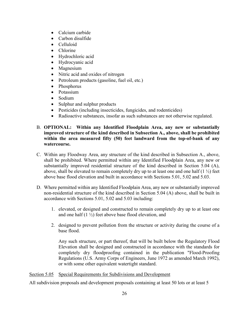- Calcium carbide
- Carbon disulfide
- Celluloid
- Chlorine
- Hydrochloric acid
- Hydrocyanic acid
- Magnesium
- Nitric acid and oxides of nitrogen
- Petroleum products (gasoline, fuel oil, etc.)
- Phosphorus
- Potassium
- Sodium
- Sulphur and sulphur products
- Pesticides (including insecticides, fungicides, and rodenticides)
- Radioactive substances, insofar as such substances are not otherwise regulated.
- B. **OPTIONAL: Within any Identified Floodplain Area, any new or substantially improved structure of the kind described in Subsection A., above, shall be prohibited within the area measured fifty (50) feet landward from the top-of-bank of any watercourse.**
- C. Within any Floodway Area, any structure of the kind described in Subsection A., above, shall be prohibited. Where permitted within any Identified Floodplain Area, any new or substantially improved residential structure of the kind described in Section 5.04 (A), above, shall be elevated to remain completely dry up to at least one and one half  $(1 \frac{1}{2})$  feet above base flood elevation and built in accordance with Sections 5.01, 5.02 and 5.03.
- D. Where permitted within any Identified Floodplain Area, any new or substantially improved non-residential structure of the kind described in Section 5.04 (A) above, shall be built in accordance with Sections 5.01, 5.02 and 5.03 including:
	- 1. elevated, or designed and constructed to remain completely dry up to at least one and one half  $(1 \frac{1}{2})$  feet above base flood elevation, and
	- 2. designed to prevent pollution from the structure or activity during the course of a base flood.

Any such structure, or part thereof, that will be built below the Regulatory Flood Elevation shall be designed and constructed in accordance with the standards for completely dry floodproofing contained in the publication "Flood-Proofing Regulations (U.S. Army Corps of Engineers, June 1972 as amended March 1992), or with some other equivalent watertight standard.

Section 5.05 Special Requirements for Subdivisions and Development

All subdivision proposals and development proposals containing at least 50 lots or at least 5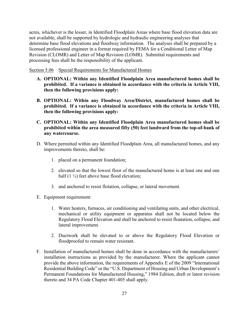acres, whichever is the lesser, in Identified Floodplain Areas where base flood elevation data are not available, shall be supported by hydrologic and hydraulic engineering analyses that determine base flood elevations and floodway information. The analyses shall be prepared by a licensed professional engineer in a format required by FEMA for a Conditional Letter of Map Revision (CLOMR) and Letter of Map Revision (LOMR). Submittal requirements and processing fees shall be the responsibility of the applicant.

Section 5.06 Special Requirements for Manufactured Homes

- **A. OPTIONAL: Within any Identified Floodplain Area manufactured homes shall be prohibited. If a variance is obtained in accordance with the criteria in Article VIII, then the following provisions apply:**
- **B. OPTIONAL: Within any Floodway Area/District, manufactured homes shall be prohibited. If a variance is obtained in accordance with the criteria in Article VIII, then the following provisions apply:**
- **C. OPTIONAL: Within any Identified Floodplain Area manufactured homes shall be prohibited within the area measured fifty (50) feet landward from the top-of-bank of any watercourse.**
- D. Where permitted within any Identified Floodplain Area, all manufactured homes, and any improvements thereto, shall be:
	- 1. placed on a permanent foundation;
	- 2. elevated so that the lowest floor of the manufactured home is at least one and one half  $(1 \frac{1}{2})$  feet above base flood elevation;
	- 3. and anchored to resist flotation, collapse, or lateral movement.
- E. Equipment requirement:
	- 1. Water heaters, furnaces, air conditioning and ventilating units, and other electrical, mechanical or utility equipment or apparatus shall not be located below the Regulatory Flood Elevation and shall be anchored to resist floatation, collapse, and lateral improvement.
	- 2. Ductwork shall be elevated to or above the Regulatory Flood Elevation or floodproofed to remain water resistant.
- F. Installation of manufactured homes shall be done in accordance with the manufacturers' installation instructions as provided by the manufacturer. Where the applicant cannot provide the above information, the requirements of Appendix E of the 2009 "International Residential Building Code" or the "U.S. Department of Housing and Urban Development's Permanent Foundations for Manufactured Housing," 1984 Edition, draft or latest revision thereto and 34 PA Code Chapter 401-405 shall apply.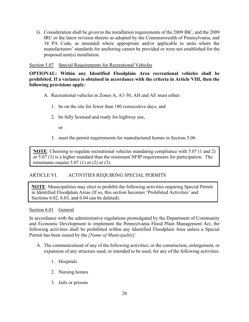G. Consideration shall be given to the installation requirements of the 2009 IBC, and the 2009 IRC or the latest revision thereto as adopted by the Commonwealth of Pennsylvania, and 34 PA Code, as amended where appropriate and/or applicable to units where the manufacturers' standards for anchoring cannot be provided or were not established for the proposed unit(s) installation.

Section 5.07 Special Requirements for Recreational Vehicles

**OPTIONAL: Within any Identified Floodplain Area recreational vehicles shall be prohibited. If a variance is obtained in accordance with the criteria in Article VIII, then the following provisions apply:**

- A. Recreational vehicles in Zones A, A1-30, AH and AE must either:
	- 1. be on the site for fewer than 180 consecutive days, and
	- 2. be fully licensed and ready for highway use,

or

3. meet the permit requirements for manufactured homes in Section 5.06.

**NOTE**: Choosing to regulate recreational vehicles mandating compliance with 5.07 (1 and 2) or 5.07 (3) is a higher standard than the minimum NFIP requirements for participation. The minimums require  $5.07$  (1) or (2) or (3).

# ARTICLE VI. ACTIVITIES REQUIRING SPECIAL PERMITS

**NOTE**: Municipalities may elect to prohibit the following activities requiring Special Permit in Identified Floodplain Areas (If so, this section becomes 'Prohibited Activities' and Sections 6.02, 6.03, and 6.04 can be deleted).

## Section 6.01 General

In accordance with the administrative regulations promulgated by the Department of Community and Economic Development to implement the Pennsylvania Flood Plain Management Act, the following activities shall be prohibited within any Identified Floodplain Area unless a Special Permit has been issued by the *[Name of Municipality]:*

- A. The commencement of any of the following activities; or the construction, enlargement, or expansion of any structure used, or intended to be used, for any of the following activities:
	- 1. Hospitals
	- 2. Nursing homes
	- 3. Jails or prisons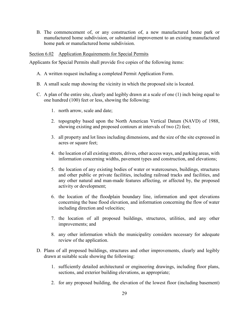B. The commencement of, or any construction of, a new manufactured home park or manufactured home subdivision, or substantial improvement to an existing manufactured home park or manufactured home subdivision.

#### Section 6.02 Application Requirements for Special Permits

Applicants for Special Permits shall provide five copies of the following items:

- A. A written request including a completed Permit Application Form.
- B. A small scale map showing the vicinity in which the proposed site is located.
- C. A plan of the entire site, clearly and legibly drawn at a scale of one (1) inch being equal to one hundred (100) feet or less, showing the following:
	- 1. north arrow, scale and date;
	- 2. topography based upon the North American Vertical Datum (NAVD) of 1988, showing existing and proposed contours at intervals of two (2) feet;
	- 3. all property and lot lines including dimensions, and the size of the site expressed in acres or square feet;
	- 4. the location of all existing streets, drives, other access ways, and parking areas, with information concerning widths, pavement types and construction, and elevations;
	- 5. the location of any existing bodies of water or watercourses, buildings, structures and other public or private facilities, including railroad tracks and facilities, and any other natural and man-made features affecting, or affected by, the proposed activity or development;
	- 6. the location of the floodplain boundary line, information and spot elevations concerning the base flood elevation, and information concerning the flow of water including direction and velocities;
	- 7. the location of all proposed buildings, structures, utilities, and any other improvements; and
	- 8. any other information which the municipality considers necessary for adequate review of the application.
- D. Plans of all proposed buildings, structures and other improvements, clearly and legibly drawn at suitable scale showing the following:
	- 1. sufficiently detailed architectural or engineering drawings, including floor plans, sections, and exterior building elevations, as appropriate;
	- 2. for any proposed building, the elevation of the lowest floor (including basement)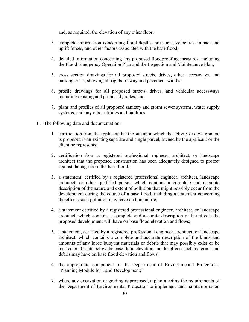and, as required, the elevation of any other floor;

- 3. complete information concerning flood depths, pressures, velocities, impact and uplift forces, and other factors associated with the base flood;
- 4. detailed information concerning any proposed floodproofing measures, including the Flood Emergency Operation Plan and the Inspection and Maintenance Plan;
- 5. cross section drawings for all proposed streets, drives, other accessways, and parking areas, showing all rights-of-way and pavement widths;
- 6. profile drawings for all proposed streets, drives, and vehicular accessways including existing and proposed grades; and
- 7. plans and profiles of all proposed sanitary and storm sewer systems, water supply systems, and any other utilities and facilities.
- E. The following data and documentation:
	- 1. certification from the applicant that the site upon which the activity or development is proposed is an existing separate and single parcel, owned by the applicant or the client he represents;
	- 2. certification from a registered professional engineer, architect, or landscape architect that the proposed construction has been adequately designed to protect against damage from the base flood;
	- 3. a statement, certified by a registered professional engineer, architect, landscape architect, or other qualified person which contains a complete and accurate description of the nature and extent of pollution that might possibly occur from the development during the course of a base flood, including a statement concerning the effects such pollution may have on human life;
	- 4. a statement certified by a registered professional engineer, architect, or landscape architect, which contains a complete and accurate description of the effects the proposed development will have on base flood elevation and flows;
	- 5. a statement, certified by a registered professional engineer, architect, or landscape architect, which contains a complete and accurate description of the kinds and amounts of any loose buoyant materials or debris that may possibly exist or be located on the site below the base flood elevation and the effects such materials and debris may have on base flood elevation and flows;
	- 6. the appropriate component of the Department of Environmental Protection's "Planning Module for Land Development;"
	- 7. where any excavation or grading is proposed, a plan meeting the requirements of the Department of Environmental Protection to implement and maintain erosion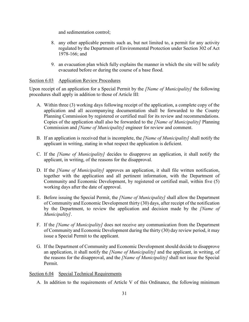and sedimentation control;

- 8. any other applicable permits such as, but not limited to, a permit for any activity regulated by the Department of Environmental Protection under Section 302 of Act 1978-166; and
- 9. an evacuation plan which fully explains the manner in which the site will be safely evacuated before or during the course of a base flood.

# Section 6.03 Application Review Procedures

Upon receipt of an application for a Special Permit by the *[Name of Municipality]* the following procedures shall apply in addition to those of Article III:

- A. Within three (3) working days following receipt of the application, a complete copy of the application and all accompanying documentation shall be forwarded to the County Planning Commission by registered or certified mail for its review and recommendations. Copies of the application shall also be forwarded to the *[Name of Municipality]* Planning Commission and *[Name of Municipality]* engineer for review and comment.
- B. If an application is received that is incomplete, the *[Name of Municipality]* shall notify the applicant in writing, stating in what respect the application is deficient.
- C. If the *[Name of Municipality]* decides to disapprove an application, it shall notify the applicant, in writing, of the reasons for the disapproval.
- D. If the *[Name of Municipality]* approves an application, it shall file written notification, together with the application and all pertinent information, with the Department of Community and Economic Development, by registered or certified mail, within five (5) working days after the date of approval.
- E. Before issuing the Special Permit, the *[Name of Municipality]* shall allow the Department of Community and Economic Development thirty (30) days, after receipt of the notification by the Department, to review the application and decision made by the *[Name of Municipality]*.
- F. If the *[Name of Municipality]* does not receive any communication from the Department of Community and Economic Development during the thirty (30) day review period, it may issue a Special Permit to the applicant.
- G. If the Department of Community and Economic Development should decide to disapprove an application, it shall notify the *[Name of Municipality]* and the applicant, in writing, of the reasons for the disapproval, and the *[Name of Municipality]* shall not issue the Special Permit.

# Section 6.04 Special Technical Requirements

A. In addition to the requirements of Article V of this Ordinance, the following minimum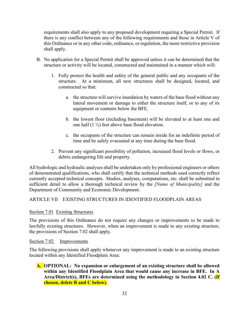requirements shall also apply to any proposed development requiring a Special Permit. If there is any conflict between any of the following requirements and those in Article V of this Ordinance or in any other code, ordinance, or regulation, the more restrictive provision shall apply.

- B. No application for a Special Permit shall be approved unless it can be determined that the structure or activity will be located, constructed and maintained in a manner which will:
	- 1. Fully protect the health and safety of the general public and any occupants of the structure. At a minimum, all new structures shall be designed, located, and constructed so that:
		- a. the structure will survive inundation by waters of the base flood without any lateral movement or damage to either the structure itself, or to any of its equipment or contents below the BFE.
		- b. the lowest floor (including basement) will be elevated to at least one and one half (1 ½) feet above base flood elevation.
		- c. the occupants of the structure can remain inside for an indefinite period of time and be safely evacuated at any time during the base flood.
	- 2. Prevent any significant possibility of pollution, increased flood levels or flows, or debris endangering life and property.

All hydrologic and hydraulic analyses shall be undertaken only by professional engineers or others of demonstrated qualifications, who shall certify that the technical methods used correctly reflect currently accepted technical concepts. Studies, analyses, computations, etc. shall be submitted in sufficient detail to allow a thorough technical review by the *[Name of Municipality]* and the Department of Community and Economic Development.

# ARTICLE VII EXISTING STRUCTURES IN IDENTIFIED FLOODPLAIN AREAS

# Section 7.01 Existing Structures

The provisions of this Ordinance do not require any changes or improvements to be made to lawfully existing structures. However, when an improvement is made to any existing structure, the provisions of Section 7.02 shall apply.

# Section 7.02 Improvements

The following provisions shall apply whenever any improvement is made to an existing structure located within any Identified Floodplain Area:

**A. OPTIONAL: No expansion or enlargement of an existing structure shall be allowed within any Identified Floodplain Area that would cause any increase in BFE. In A Area/District(s), BFEs are determined using the methodology in Section 4.02 C. (If chosen, delete B and C below).**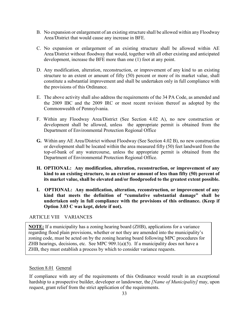- B. No expansion or enlargement of an existing structure shall be allowed within any Floodway Area/District that would cause any increase in BFE.
- C. No expansion or enlargement of an existing structure shall be allowed within AE Area/District without floodway that would, together with all other existing and anticipated development, increase the BFE more than one (1) foot at any point.
- D. Any modification, alteration, reconstruction, or improvement of any kind to an existing structure to an extent or amount of fifty (50) percent or more of its market value, shall constitute a substantial improvement and shall be undertaken only in full compliance with the provisions of this Ordinance.
- E. The above activity shall also address the requirements of the 34 PA Code, as amended and the 2009 IBC and the 2009 IRC or most recent revision thereof as adopted by the Commonwealth of Pennsylvania.
- F. Within any Floodway Area/District (See Section 4.02 A), no new construction or development shall be allowed, unless the appropriate permit is obtained from the Department of Environmental Protection Regional Office
- **G.** Within any AE Area/District without Floodway (See Section 4.02 B), no new construction or development shall be located within the area measured fifty (50) feet landward from the top-of-bank of any watercourse, unless the appropriate permit is obtained from the Department of Environmental Protection Regional Office.
- **H. OPTIONAL: Any modification, alteration, reconstruction, or improvement of any kind to an existing structure, to an extent or amount of less than fifty (50) percent of its market value, shall be elevated and/or floodproofed to the greatest extent possible.**
- **I. OPTIONAL: Any modification, alteration, reconstruction, or improvement of any kind that meets the definition of "cumulative substantial damage" shall be undertaken only in full compliance with the provisions of this ordinance. (Keep if Option 3.03 C was kept, delete if not).**

ARTICLE VIII VARIANCES

**NOTE:** If a municipality has a zoning hearing board (ZHB), applications for a variance regarding flood plain provisions, whether or not they are amended into the municipality's zoning code, must be acted on by the zoning hearing board following MPC procedures for ZHB hearings, decisions, etc. See MPC  $909.1(a)(5)$ . If a municipality does not have a ZHB, they must establish a process by which to consider variance requests.

## Section 8.01 General

If compliance with any of the requirements of this Ordinance would result in an exceptional hardship to a prospective builder, developer or landowner, the *[Name of Municipality]* may, upon request, grant relief from the strict application of the requirements.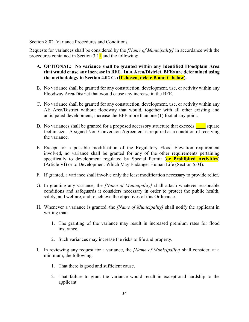#### Section 8.02 Variance Procedures and Conditions

Requests for variances shall be considered by the *[Name of Municipality]* in accordance with the procedures contained in Section  $3.11$  and the following:

- **A. OPTIONAL: No variance shall be granted within any Identified Floodplain Area that would cause any increase in BFE. In A Area/District, BFEs are determined using the methodology in Section 4.02 C. (If chosen, delete B and C below).**
- B. No variance shall be granted for any construction, development, use, or activity within any Floodway Area/District that would cause any increase in the BFE.
- C. No variance shall be granted for any construction, development, use, or activity within any AE Area/District without floodway that would, together with all other existing and anticipated development, increase the BFE more than one (1) foot at any point.
- D. No variances shall be granted for a proposed accessory structure that exceeds square feet in size. A signed Non-Conversion Agreement is required as a condition of receiving the variance.
- E. Except for a possible modification of the Regulatory Flood Elevation requirement involved, no variance shall be granted for any of the other requirements pertaining specifically to development regulated by Special Permit (**or Prohibited Activities**) (Article VI) or to Development Which May Endanger Human Life (Section 5.04).
- F. If granted, a variance shall involve only the least modification necessary to provide relief.
- G. In granting any variance, the *[Name of Municipality]* shall attach whatever reasonable conditions and safeguards it considers necessary in order to protect the public health, safety, and welfare, and to achieve the objectives of this Ordinance.
- H. Whenever a variance is granted, the *[Name of Municipality]* shall notify the applicant in writing that:
	- 1. The granting of the variance may result in increased premium rates for flood insurance.
	- 2. Such variances may increase the risks to life and property.
- I. In reviewing any request for a variance, the *[Name of Municipality]* shall consider, at a minimum, the following:
	- 1. That there is good and sufficient cause.
	- 2. That failure to grant the variance would result in exceptional hardship to the applicant.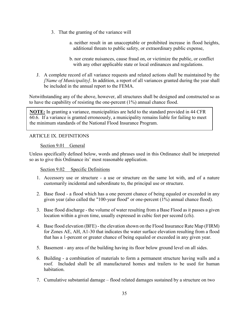- 3. That the granting of the variance will
	- a. neither result in an unacceptable or prohibited increase in flood heights, additional threats to public safety, or extraordinary public expense,
	- b. nor create nuisances, cause fraud on, or victimize the public, or conflict with any other applicable state or local ordinances and regulations.
- J. A complete record of all variance requests and related actions shall be maintained by the *[Name of Municipality]*. In addition, a report of all variances granted during the year shall be included in the annual report to the FEMA.

Notwithstanding any of the above, however, all structures shall be designed and constructed so as to have the capability of resisting the one-percent (1%) annual chance flood.

**NOTE:** In granting a variance, municipalities are held to the standard provided in 44 CFR 60.6. If a variance is granted erroneously, a municipality remains liable for failing to meet the minimum standards of the National Flood Insurance Program.

# ARTICLE IX. DEFINITIONS

## Section 9.01 General

Unless specifically defined below, words and phrases used in this Ordinance shall be interpreted so as to give this Ordinance its' most reasonable application.

## Section 9.02 Specific Definitions

- 1. Accessory use or structure a use or structure on the same lot with, and of a nature customarily incidental and subordinate to, the principal use or structure.
- 2. Base flood a flood which has a one percent chance of being equaled or exceeded in any given year (also called the "100-year flood" or one-percent (1%) annual chance flood).
- 3. Base flood discharge the volume of water resulting from a Base Flood as it passes a given location within a given time, usually expressed in cubic feet per second (cfs).
- 4. Base flood elevation (BFE) the elevation shown on the Flood Insurance Rate Map (FIRM) for Zones AE, AH, A1-30 that indicates the water surface elevation resulting from a flood that has a 1-percent or greater chance of being equaled or exceeded in any given year.
- 5. Basement any area of the building having its floor below ground level on all sides.
- 6. Building a combination of materials to form a permanent structure having walls and a roof. Included shall be all manufactured homes and trailers to be used for human habitation.
- 7. Cumulative substantial damage flood related damages sustained by a structure on two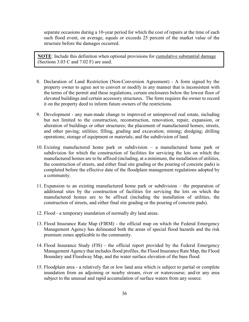separate occasions during a 10-year period for which the cost of repairs at the time of each such flood event, on average, equals or exceeds 25 percent of the market value of the structure before the damages occurred.

**NOTE**: Include this definition when optional provisions for cumulative substantial damage (Sections 3.03 C and 7.02 F) are used.

- 8. Declaration of Land Restriction (Non-Conversion Agreement) A form signed by the property owner to agree not to convert or modify in any manner that is inconsistent with the terms of the permit and these regulations, certain enclosures below the lowest floor of elevated buildings and certain accessory structures. The form requires the owner to record it on the property deed to inform future owners of the restrictions.
- 9. Development any man-made change to improved or unimproved real estate, including but not limited to the construction, reconstruction, renovation, repair, expansion, or alteration of buildings or other structures; the placement of manufactured homes; streets, and other paving; utilities; filling, grading and excavation; mining; dredging; drilling operations; storage of equipment or materials; and the subdivision of land.
- 10. Existing manufactured home park or subdivision a manufactured home park or subdivision for which the construction of facilities for servicing the lots on which the manufactured homes are to be affixed (including, at a minimum, the installation of utilities, the construction of streets, and either final site grading or the pouring of concrete pads) is completed before the effective date of the floodplain management regulations adopted by a community.
- 11. Expansion to an existing manufactured home park or subdivision the preparation of additional sites by the construction of facilities for servicing the lots on which the manufactured homes are to be affixed (including the installation of utilities, the construction of streets, and either final site grading or the pouring of concrete pads).
- 12. Flood a temporary inundation of normally dry land areas.
- 13. Flood Insurance Rate Map (FIRM) the official map on which the Federal Emergency Management Agency has delineated both the areas of special flood hazards and the risk premium zones applicable to the community.
- 14. Flood Insurance Study (FIS) the official report provided by the Federal Emergency Management Agency that includes flood profiles, the Flood Insurance Rate Map, the Flood Boundary and Floodway Map, and the water surface elevation of the base flood.
- 15. Floodplain area a relatively flat or low land area which is subject to partial or complete inundation from an adjoining or nearby stream, river or watercourse; and/or any area subject to the unusual and rapid accumulation of surface waters from any source.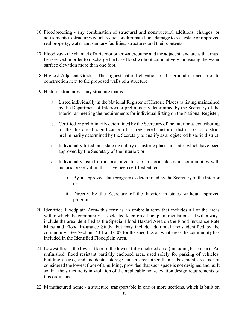- 16. Floodproofing any combination of structural and nonstructural additions, changes, or adjustments to structures which reduce or eliminate flood damage to real estate or improved real property, water and sanitary facilities, structures and their contents.
- 17. Floodway the channel of a river or other watercourse and the adjacent land areas that must be reserved in order to discharge the base flood without cumulatively increasing the water surface elevation more than one foot.
- 18. Highest Adjacent Grade The highest natural elevation of the ground surface prior to construction next to the proposed walls of a structure.
- 19. Historic structures any structure that is:
	- a. Listed individually in the National Register of Historic Places (a listing maintained by the Department of Interior) or preliminarily determined by the Secretary of the Interior as meeting the requirements for individual listing on the National Register;
	- b. Certified or preliminarily determined by the Secretary of the Interior as contributing to the historical significance of a registered historic district or a district preliminarily determined by the Secretary to qualify as a registered historic district;
	- c. Individually listed on a state inventory of historic places in states which have been approved by the Secretary of the Interior; or
	- d. Individually listed on a local inventory of historic places in communities with historic preservation that have been certified either:
		- i. By an approved state program as determined by the Secretary of the Interior or
		- ii. Directly by the Secretary of the Interior in states without approved programs.
- 20. Identified Floodplain Area- this term is an umbrella term that includes all of the areas within which the community has selected to enforce floodplain regulations. It will always include the area identified as the Special Flood Hazard Area on the Flood Insurance Rate Maps and Flood Insurance Study, but may include additional areas identified by the community. See Sections 4.01 and 4.02 for the specifics on what areas the community has included in the Identified Floodplain Area.
- 21. Lowest floor the lowest floor of the lowest fully enclosed area (including basement). An unfinished, flood resistant partially enclosed area, used solely for parking of vehicles, building access, and incidental storage, in an area other than a basement area is not considered the lowest floor of a building, provided that such space is not designed and built so that the structure is in violation of the applicable non-elevation design requirements of this ordinance.
- 22. Manufactured home a structure, transportable in one or more sections, which is built on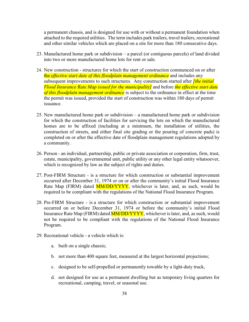a permanent chassis, and is designed for use with or without a permanent foundation when attached to the required utilities. The term includes park trailers, travel trailers, recreational and other similar vehicles which are placed on a site for more than 180 consecutive days.

- 23. Manufactured home park or subdivision a parcel (or contiguous parcels) of land divided into two or more manufactured home lots for rent or sale.
- 24. New construction structures for which the start of construction commenced on or after the *effective start date of this floodplain management ordinance* and includes any subsequent improvements to such structures. Any construction started after *[the initial Flood Insurance Rate Map issued for the municipality]* and before *the effective start date of this floodplain management ordinance* is subject to the ordinance in effect at the time the permit was issued, provided the start of construction was within 180 days of permit issuance.
- 25. New manufactured home park or subdivision a manufactured home park or subdivision for which the construction of facilities for servicing the lots on which the manufactured homes are to be affixed (including at a minimum, the installation of utilities, the construction of streets, and either final site grading or the pouring of concrete pads) is completed on or after the effective date of floodplain management regulations adopted by a community.
- 26. Person an individual, partnership, public or private association or corporation, firm, trust, estate, municipality, governmental unit, public utility or any other legal entity whatsoever, which is recognized by law as the subject of rights and duties.
- 27. Post-FIRM Structure *-* is a structure for which construction or substantial improvement occurred after December 31, 1974 or on or after the community's initial Flood Insurance Rate Map (FIRM) dated **MM/DD/YYYY**, whichever is later, and, as such, would be required to be compliant with the regulations of the National Flood Insurance Program.
- 28. Pre-FIRM Structure is a structure for which construction or substantial improvement occurred on or before December 31, 1974 or before the community's initial Flood Insurance Rate Map (FIRM) dated **MM/DD/YYYY**, whichever is later, and, as such, would not be required to be compliant with the regulations of the National Flood Insurance Program.
- 29. Recreational vehicle a vehicle which is:
	- a. built on a single chassis;
	- b. not more than 400 square feet, measured at the largest horizontal projections;
	- c. designed to be self-propelled or permanently towable by a light-duty truck,
	- d. not designed for use as a permanent dwelling but as temporary living quarters for recreational, camping, travel, or seasonal use.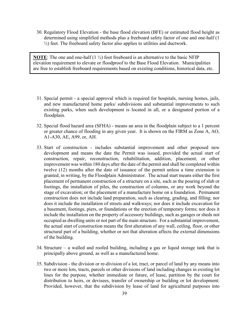30. Regulatory Flood Elevation - the base flood elevation (BFE) or estimated flood height as determined using simplified methods plus a freeboard safety factor of one and one-half (1  $\frac{1}{2}$ ) feet. The freeboard safety factor also applies to utilities and ductwork.

**NOTE**: The one and one-half  $(1 \frac{1}{2})$  foot freeboard is an alternative to the basic NFIP elevation requirement to elevate or floodproof to the Base Flood Elevation. Municipalities are free to establish freeboard requirements based on existing conditions, historical data, etc.

- 31. Special permit a special approval which is required for hospitals, nursing homes, jails, and new manufactured home parks/ subdivisions and substantial improvements to such existing parks, when such development is located in all, or a designated portion of a floodplain.
- 32. Special flood hazard area (SFHA) means an area in the floodplain subject to a 1 percent or greater chance of flooding in any given year. It is shown on the FIRM as Zone A, AO, A1-A30, AE, A99, or, AH.
- 33. Start of construction includes substantial improvement and other proposed new development and means the date the Permit was issued, provided the actual start of construction, repair, reconstruction, rehabilitation, addition, placement, or other improvement was within 180 days after the date of the permit and shall be completed within twelve (12) months after the date of issuance of the permit unless a time extension is granted, in writing, by the Floodplain Administrator. The actual start means either the first placement of permanent construction of a structure on a site, such as the pouring of slab or footings, the installation of piles, the construction of columns, or any work beyond the stage of excavation; or the placement of a manufacture home on a foundation. Permanent construction does not include land preparation, such as clearing, grading, and filling; nor does it include the installation of streets and walkways; nor does it include excavation for a basement, footings, piers, or foundations or the erection of temporary forms; nor does it include the installation on the property of accessory buildings, such as garages or sheds not occupied as dwelling units or not part of the main structure. For a substantial improvement, the actual start of construction means the first alteration of any wall, ceiling, floor, or other structural part of a building, whether or not that alteration affects the external dimensions of the building.
- 34. Structure a walled and roofed building, including a gas or liquid storage tank that is principally above ground, as well as a manufactured home.
- 35. Subdivision the division or re-division of a lot, tract, or parcel of land by any means into two or more lots, tracts, parcels or other divisions of land including changes in existing lot lines for the purpose, whether immediate or future, of lease, partition by the court for distribution to heirs, or devisees, transfer of ownership or building or lot development: Provided, however, that the subdivision by lease of land for agricultural purposes into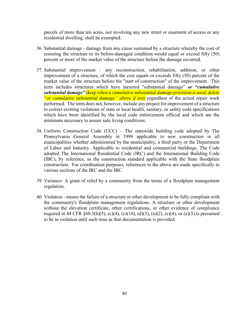parcels of more than ten acres, not involving any new street or easement of access or any residential dwelling, shall be exempted.

- 36. Substantial damage damage from any cause sustained by a structure whereby the cost of restoring the structure to its before-damaged condition would equal or exceed fifty (50) percent or more of the market value of the structure before the damage occurred.
- 37. Substantial improvement any reconstruction, rehabilitation, addition, or other improvement of a structure, of which the cost equals or exceeds fifty (50) percent of the market value of the structure before the "start of construction" of the improvement. This term includes structures which have incurred "substantial damage" *or "cumulative substantial damage" (keep when a cumulative substantial damage provision is used, delete "or cumulative substantial damage" above if not)* regardless of the actual repair work performed. The term does not, however, include any project for improvement of a structure to correct existing violations of state or local health, sanitary, or safety code specifications which have been identified by the local code enforcement official and which are the minimum necessary to assure safe living conditions.
- 38. Uniform Construction Code (UCC) The statewide building code adopted by The Pennsylvania General Assembly in 1999 applicable to new construction in all municipalities whether administered by the municipality, a third party or the Department of Labor and Industry. Applicable to residential and commercial buildings, The Code adopted The International Residential Code (IRC) and the International Building Code (IBC), by reference, as the construction standard applicable with the State floodplain construction. For coordination purposes, references to the above are made specifically to various sections of the IRC and the IBC.
- 39. Variance- A grant of relief by a community from the terms of a floodplain management regulation.
- 40. Violation means the failure of a structure or other development to be fully compliant with the community's floodplain management regulations. A structure or other development without the elevation certificate, other certifications, or other evidence of compliance required in 44 CFR  $\S 60.3(b)(5)$ , (c)(4), (c)(10), (d)(3), (e)(2), (e)(4), or (e)(5) is presumed to be in violation until such time as that documentation is provided.